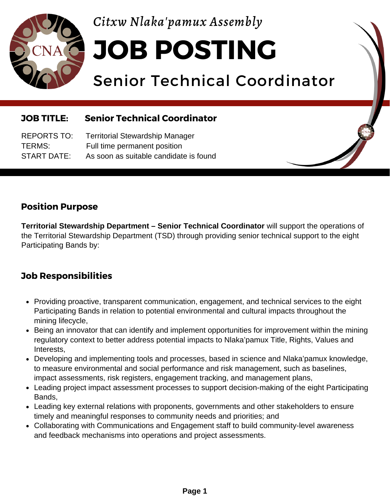

*Citxw Nlaka'pamux Assembly*

**JOB POSTING**

# Senior Technical Coordinator

### **JOB TITLE: Senior Technical Coordinator**

REPORTS TO: Territorial Stewardship Manager TERMS: Full time permanent position START DATE: As soon as suitable candidate is found

## **Position Purpose**

**Territorial Stewardship Department – Senior Technical Coordinator** will support the operations of the Territorial Stewardship Department (TSD) through providing senior technical support to the eight Participating Bands by:

## **Job Responsibilities**

- Providing proactive, transparent communication, engagement, and technical services to the eight Participating Bands in relation to potential environmental and cultural impacts throughout the mining lifecycle,
- Being an innovator that can identify and implement opportunities for improvement within the mining regulatory context to better address potential impacts to Nlaka'pamux Title, Rights, Values and Interests,
- Developing and implementing tools and processes, based in science and Nlaka'pamux knowledge, to measure environmental and social performance and risk management, such as baselines, impact assessments, risk registers, engagement tracking, and management plans,
- Leading project impact assessment processes to support decision-making of the eight Participating Bands,
- Leading key external relations with proponents, governments and other stakeholders to ensure timely and meaningful responses to community needs and priorities; and
- Collaborating with Communications and Engagement staff to build community-level awareness and feedback mechanisms into operations and project assessments.